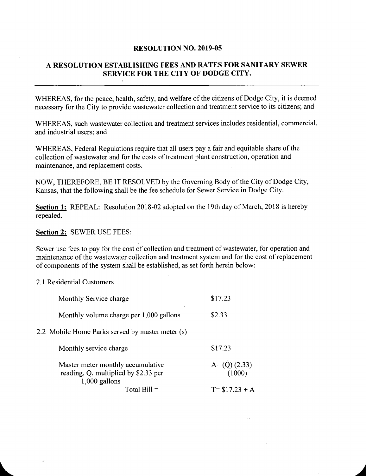## RESOLUTION NO. 2019-05

## A RESOLUTION ESTABLISHING FEES AND RATES FOR SANITARY SEWER SERVICE FOR THE CITY OF DODGE CITY.

WHEREAS, for the peace, health, safety, and welfare of the citizens of Dodge City, it is deemed necessary for the City to provide wastewater collection and treatment service to its citizens; and

WHEREAS, such wastewater collection and treatment services includes residential, commercial, and industrial users; and

WHEREAS, Federal Regulations require that all users pay <sup>a</sup> fair and equitable share of the collection of wastewater and for the costs of treatment plant construction, operation and maintenance, and replacement costs.

NOW, THEREFORE, BE IT RESOLVED by the Governing Body of the City of Dodge City, Kansas, that the following shall be the fee schedule for Sewer Service in Dodge City.

Section 1: REPEAL: Resolution 2018-02 adopted on the 19th day of March, 2018 is hereby repealed.

Section 2: SEWER USE FEES:

Sewer use fees to pay for the cost of collection and treatment of wastewater, for operation and maintenance of the wastewater collection and treatment system and for the cost of replacement of components of the system shall be established, as set forth herein below:

## 2. <sup>1</sup> Residential Customers

| Monthly Service charge                                                                       | \$17.23                  |
|----------------------------------------------------------------------------------------------|--------------------------|
| Monthly volume charge per 1,000 gallons                                                      | \$2.33                   |
| 2.2 Mobile Home Parks served by master meter (s)                                             |                          |
| Monthly service charge                                                                       | \$17.23                  |
| Master meter monthly accumulative<br>reading, Q, multiplied by \$2.33 per<br>$1,000$ gallons | $A=(Q)$ (2.33)<br>(1000) |
| Total Bill =                                                                                 | $T = $17.23 + A$         |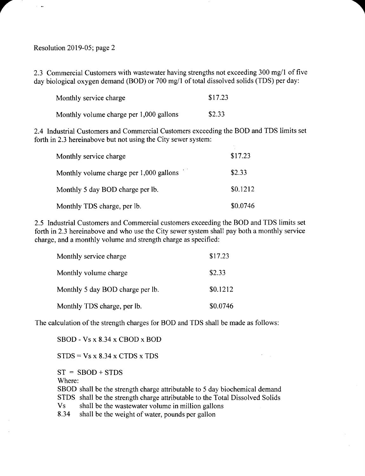Resolution 2019-05; page 2

r

2.3 Commercial Customers with wastewater having strengths not exceeding 300 mg/1 of five day biological oxygen demand (BOD) or 700 mg/1 of total dissolved solids (TDS) per day:

| Monthly service charge                  | \$17.23 |
|-----------------------------------------|---------|
| Monthly volume charge per 1,000 gallons | \$2.33  |

2.4 Industrial Customers and Commercial Customers exceeding the BOD and TDS limits set forth in 2.3 hereinabove but not using the City sewer system:

| Monthly service charge                  | \$17.23  |
|-----------------------------------------|----------|
| Monthly volume charge per 1,000 gallons | \$2.33   |
| Monthly 5 day BOD charge per lb.        | \$0.1212 |
| Monthly TDS charge, per lb.             | \$0.0746 |

2.5 Industrial Customers and Commercial customers exceeding the BOD and TDS limits set forth in 2.3 hereinabove and who use the City sewer system shall pay both a monthly service charge, and a monthly volume and strength charge as specified:

| Monthly service charge           | \$17.23  |
|----------------------------------|----------|
| Monthly volume charge            | \$2.33   |
| Monthly 5 day BOD charge per lb. | \$0.1212 |
| Monthly TDS charge, per lb.      | \$0.0746 |

The calculation of the strength charges for BOD and TDS shall be made as follows:

SBOD - Vs x 8. 34 x CBOD x BOD

 $STDS = Vs \times 8.34 \times CTDS \times TDS$ 

 $ST = SBOD + STDS$ 

Where:

SBOD shall be the strength charge attributable to 5 day biochemical demand STDS shall be the strength charge attributable to the Total Dissolved Solids Vs shall be the wastewater volume in million gallons

8. 34 shall be the weight of water, pounds per gallon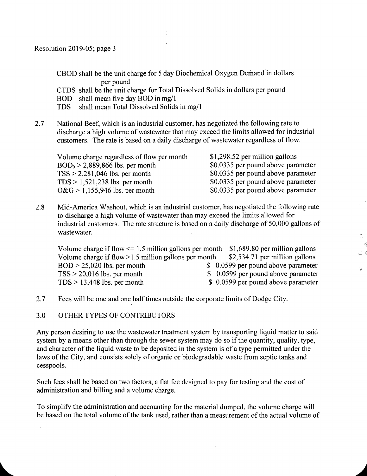CBOD shall be the unit charge for <sup>5</sup> day Biochemical Oxygen Demand in dollars per pound

CTDS shall be the unit charge for Total Dissolved Solids in dollars per pound

BOD shall mean five day BOD in mg/1<br>TDS shall mean Total Dissolved Solids

shall mean Total Dissolved Solids in mg/1

2.7 National Beef, which is an industrial customer, has negotiated the following rate to discharge <sup>a</sup> high volume of wastewater that may exceed the limits allowed for industrial customers. The rate is based on <sup>a</sup> daily discharge of wastewater regardless of flow.

| \$1,298.52 per million gallons     |
|------------------------------------|
| \$0.0335 per pound above parameter |
| \$0.0335 per pound above parameter |
| \$0.0335 per pound above parameter |
| \$0.0335 per pound above parameter |
|                                    |

2.8 Mid-America Washout, which is an industrial customer, has negotiated the following rate to discharge a high volume of wastewater than may exceed the limits allowed for industrial customers. The rate structure is based on <sup>a</sup> daily discharge of 50, 000 gallons of wastewater.

Volume charge if flow  $\leq$  1.5 million gallons per month \$1,689.80 per million gallons Volume charge if flow >1.5 million gallons per month \$2,534.71 per million gallons Volume charge if flow > 1.5 million gallons per month  $BOD > 25,020$  lbs. per month \$ 6 \$ 0.0599 per pound above parameter  $TSS > 20,016$  lbs. per month  $$0.0599$  per pound above parameter  $TDS > 13,448$  lbs. per month  $$0.0599$  per pound above parameter

K

 $\frac{1}{24}$ 

- 2.7 Fees will be one and one half times outside the corporate limits of Dodge City.
- 3.0 OTHER TYPES OF CONTRIBUTORS

Any person desiring to use the wastewater treatment system by transporting liquid matter to said system by <sup>a</sup> means other than through the sewer system may do so if the quantity, quality, type, and character of the liquid waste to be deposited in the system is of a type permitted under the laws of the City, and consists solely of organic or biodegradable waste from septic tanks and cesspools.

Such fees shall be based on two factors, a flat fee designed to pay for testing and the cost of administration and billing and <sup>a</sup> volume charge.

To simplify the administration and accounting for the material dumped, the volume charge will be based on the total volume of the tank used, rather than a measurement of the actual volume of